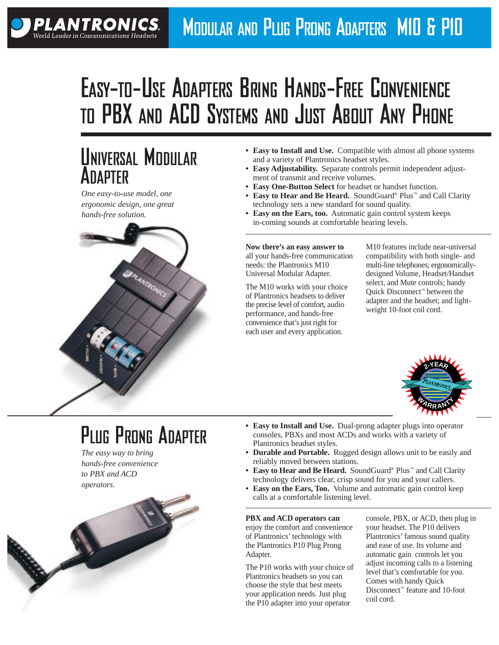# **EASY-TO-USE ADAPTERS BRING HANDS-FREE CONVENIENCE TO PBX AND ACD SYSTEMS AND JUST ABOUT ANY PHONE**

## **UNIVERSAL MODULAR ADAPTER**

*One easy-to-use model, one ergonomic design, one great hands-free solution.*

**PLANTRONICS.** World Leader in Communications Headset



- **Easy to Install and Use.** Compatible with almost all phone systems and a variety of Plantronics headset styles.
- **Easy Adjustability.** Separate controls permit independent adjustment of transmit and receive volumes.
- **Easy One-Button Select** for headset or handset function.
- **Easy to Hear and Be Heard.** SoundGuard® Plus™ and Call Clarity technology sets a new standard for sound quality.
- **Easy on the Ears, too.** Automatic gain control system keeps in-coming sounds at comfortable hearing levels.

**Now there's an easy answer to**  all your hands-free communication needs: the Plantronics M10 Universal Modular Adapter.

The M10 works with your choice of Plantronics headsets to deliver the precise level of comfort, audio performance, and hands-free convenience that's just right for each user and every application.

M10 features include near-universal compatibility with both single- and multi-line telephones; ergonomicallydesigned Volume, Headset/Handset select, and Mute controls; handy Quick Disconnect™ between the adapter and the headset; and lightweight 10-foot coil cord.



## **PLUG PRONG ADAPTER**

*The easy way to bring hands-free convenience to PBX and ACD operators.*

- **Easy to Install and Use.** Dual-prong adapter plugs into operator consoles, PBXs and most ACDs and works with a variety of Plantronics headset styles.
- **Durable and Portable.** Rugged design allows unit to be easily and reliably moved between stations.
- **Easy to Hear and Be Heard.** SoundGuard® Plus™ and Call Clarity technology delivers clear, crisp sound for you and your callers.
- **Easy on the Ears, Too.** Volume and automatic gain control keep calls at a comfortable listening level.

#### **PBX and ACD operators can**

enjoy the comfort and convenience of Plantronics' technology with the Plantronics P10 Plug Prong Adapter.

The P10 works with your choice of Plantronics headsets so you can choose the style that best meets your application needs. Just plug the P10 adapter into your operator

console, PBX, or ACD, then plug in your headset. The P10 delivers Plantronics' famous sound quality and ease of use. Its volume and automatic gain controls let you adjust incoming calls to a listening level that's comfortable for you. Comes with handy Quick Disconnect™ feature and 10-foot coil cord.